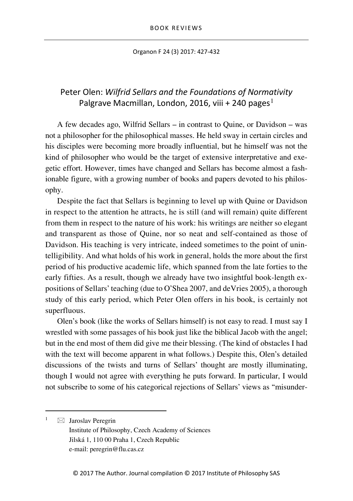Organon F 24 (3) 2017: 427-432

## Peter Olen: *Wilfrid Sellars and the Foundations of Normativity* Palgrave Macmillan, London, 20[1](#page-0-0)6, viii + 240 pages<sup>1</sup>

A few decades ago, Wilfrid Sellars – in contrast to Quine, or Davidson – was not a philosopher for the philosophical masses. He held sway in certain circles and his disciples were becoming more broadly influential, but he himself was not the kind of philosopher who would be the target of extensive interpretative and exegetic effort. However, times have changed and Sellars has become almost a fashionable figure, with a growing number of books and papers devoted to his philosophy.

Despite the fact that Sellars is beginning to level up with Quine or Davidson in respect to the attention he attracts, he is still (and will remain) quite different from them in respect to the nature of his work: his writings are neither so elegant and transparent as those of Quine, nor so neat and self-contained as those of Davidson. His teaching is very intricate, indeed sometimes to the point of unintelligibility. And what holds of his work in general, holds the more about the first period of his productive academic life, which spanned from the late forties to the early fifties. As a result, though we already have two insightful book-length expositions of Sellars' teaching (due to O'Shea 2007, and deVries 2005), a thorough study of this early period, which Peter Olen offers in his book, is certainly not superfluous.

Olen's book (like the works of Sellars himself) is not easy to read. I must say I wrestled with some passages of his book just like the biblical Jacob with the angel; but in the end most of them did give me their blessing. (The kind of obstacles I had with the text will become apparent in what follows.) Despite this, Olen's detailed discussions of the twists and turns of Sellars' thought are mostly illuminating, though I would not agree with everything he puts forward. In particular, I would not subscribe to some of his categorical rejections of Sellars' views as "misunder-

<span id="page-0-0"></span> $1 \quad \boxtimes$  Jaroslav Peregrin Institute of Philosophy, Czech Academy of Sciences Jilská 1, 110 00 Praha 1, Czech Republic e-mail: peregrin@flu.cas.cz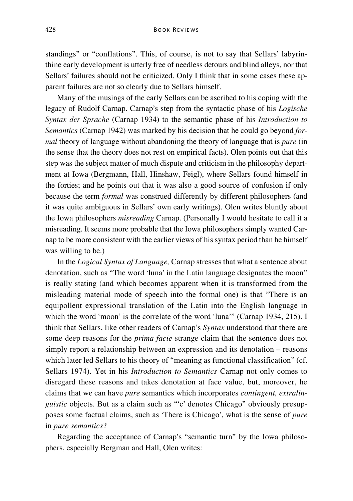standings" or "conflations". This, of course, is not to say that Sellars' labyrinthine early development is utterly free of needless detours and blind alleys, nor that Sellars' failures should not be criticized. Only I think that in some cases these apparent failures are not so clearly due to Sellars himself.

Many of the musings of the early Sellars can be ascribed to his coping with the legacy of Rudolf Carnap. Carnap's step from the syntactic phase of his *Logische Syntax der Sprache* (Carnap 1934) to the semantic phase of his *Introduction to Semantics* (Carnap 1942) was marked by his decision that he could go beyond *formal* theory of language without abandoning the theory of language that is *pure* (in the sense that the theory does not rest on empirical facts). Olen points out that this step was the subject matter of much dispute and criticism in the philosophy department at Iowa (Bergmann, Hall, Hinshaw, Feigl), where Sellars found himself in the forties; and he points out that it was also a good source of confusion if only because the term *formal* was construed differently by different philosophers (and it was quite ambiguous in Sellars' own early writings). Olen writes bluntly about the Iowa philosophers *misreading* Carnap. (Personally I would hesitate to call it a misreading. It seems more probable that the Iowa philosophers simply wanted Carnap to be more consistent with the earlier views of his syntax period than he himself was willing to be.)

In the *Logical Syntax of Language,* Carnap stresses that what a sentence about denotation, such as "The word 'luna' in the Latin language designates the moon" is really stating (and which becomes apparent when it is transformed from the misleading material mode of speech into the formal one) is that "There is an equipollent expressional translation of the Latin into the English language in which the word 'moon' is the correlate of the word 'luna'" (Carnap 1934, 215). I think that Sellars, like other readers of Carnap's *Syntax* understood that there are some deep reasons for the *prima facie* strange claim that the sentence does not simply report a relationship between an expression and its denotation – reasons which later led Sellars to his theory of "meaning as functional classification" (cf. Sellars 1974). Yet in his *Introduction to Semantics* Carnap not only comes to disregard these reasons and takes denotation at face value, but, moreover, he claims that we can have *pure* semantics which incorporates *contingent, extralinguistic* objects. But as a claim such as "'c' denotes Chicago" obviously presupposes some factual claims, such as 'There is Chicago', what is the sense of *pure* in *pure semantics*?

Regarding the acceptance of Carnap's "semantic turn" by the Iowa philosophers, especially Bergman and Hall, Olen writes: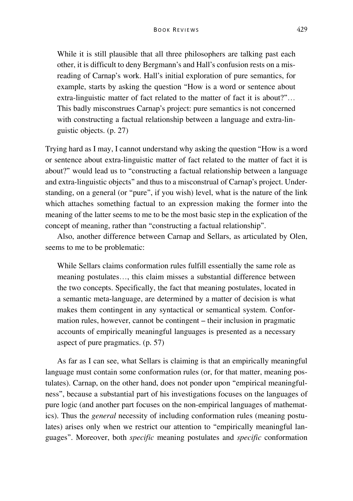While it is still plausible that all three philosophers are talking past each other, it is difficult to deny Bergmann's and Hall's confusion rests on a misreading of Carnap's work. Hall's initial exploration of pure semantics, for example, starts by asking the question "How is a word or sentence about extra-linguistic matter of fact related to the matter of fact it is about?"… This badly misconstrues Carnap's project: pure semantics is not concerned with constructing a factual relationship between a language and extra-linguistic objects. (p. 27)

Trying hard as I may, I cannot understand why asking the question "How is a word or sentence about extra-linguistic matter of fact related to the matter of fact it is about?" would lead us to "constructing a factual relationship between a language and extra-linguistic objects" and thus to a misconstrual of Carnap's project. Understanding, on a general (or "pure", if you wish) level, what is the nature of the link which attaches something factual to an expression making the former into the meaning of the latter seems to me to be the most basic step in the explication of the concept of meaning, rather than "constructing a factual relationship".

Also, another difference between Carnap and Sellars, as articulated by Olen, seems to me to be problematic:

While Sellars claims conformation rules fulfill essentially the same role as meaning postulates…, this claim misses a substantial difference between the two concepts. Specifically, the fact that meaning postulates, located in a semantic meta-language, are determined by a matter of decision is what makes them contingent in any syntactical or semantical system. Conformation rules, however, cannot be contingent – their inclusion in pragmatic accounts of empirically meaningful languages is presented as a necessary aspect of pure pragmatics. (p. 57)

As far as I can see, what Sellars is claiming is that an empirically meaningful language must contain some conformation rules (or, for that matter, meaning postulates). Carnap, on the other hand, does not ponder upon "empirical meaningfulness", because a substantial part of his investigations focuses on the languages of pure logic (and another part focuses on the non-empirical languages of mathematics). Thus the *general* necessity of including conformation rules (meaning postulates) arises only when we restrict our attention to "empirically meaningful languages". Moreover, both *specific* meaning postulates and *specific* conformation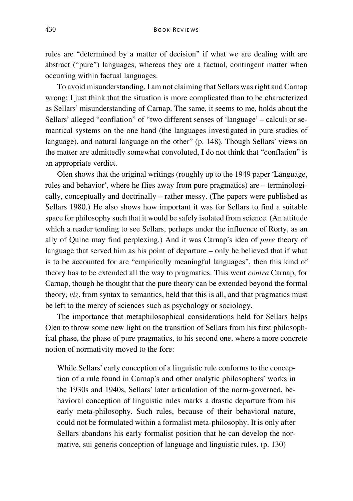rules are "determined by a matter of decision" if what we are dealing with are abstract ("pure") languages, whereas they are a factual, contingent matter when occurring within factual languages.

To avoid misunderstanding, I am not claiming that Sellars was right and Carnap wrong; I just think that the situation is more complicated than to be characterized as Sellars' misunderstanding of Carnap. The same, it seems to me, holds about the Sellars' alleged "conflation" of "two different senses of 'language' – calculi or semantical systems on the one hand (the languages investigated in pure studies of language), and natural language on the other" (p. 148). Though Sellars' views on the matter are admittedly somewhat convoluted, I do not think that "conflation" is an appropriate verdict.

Olen shows that the original writings (roughly up to the 1949 paper 'Language, rules and behavior', where he flies away from pure pragmatics) are – terminologically, conceptually and doctrinally – rather messy. (The papers were published as Sellars 1980.) He also shows how important it was for Sellars to find a suitable space for philosophy such that it would be safely isolated from science. (An attitude which a reader tending to see Sellars, perhaps under the influence of Rorty, as an ally of Quine may find perplexing.) And it was Carnap's idea of *pure* theory of language that served him as his point of departure – only he believed that if what is to be accounted for are "empirically meaningful languages", then this kind of theory has to be extended all the way to pragmatics. This went *contra* Carnap, for Carnap, though he thought that the pure theory can be extended beyond the formal theory, *viz*. from syntax to semantics, held that this is all, and that pragmatics must be left to the mercy of sciences such as psychology or sociology.

The importance that metaphilosophical considerations held for Sellars helps Olen to throw some new light on the transition of Sellars from his first philosophical phase, the phase of pure pragmatics, to his second one, where a more concrete notion of normativity moved to the fore:

While Sellars' early conception of a linguistic rule conforms to the conception of a rule found in Carnap's and other analytic philosophers' works in the 1930s and 1940s, Sellars' later articulation of the norm-governed, behavioral conception of linguistic rules marks a drastic departure from his early meta-philosophy. Such rules, because of their behavioral nature, could not be formulated within a formalist meta-philosophy. It is only after Sellars abandons his early formalist position that he can develop the normative, sui generis conception of language and linguistic rules. (p. 130)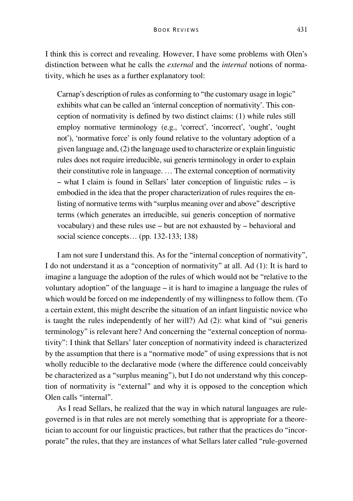I think this is correct and revealing. However, I have some problems with Olen's distinction between what he calls the *external* and the *internal* notions of normativity, which he uses as a further explanatory tool:

Carnap's description of rules as conforming to "the customary usage in logic" exhibits what can be called an 'internal conception of normativity'. This conception of normativity is defined by two distinct claims: (1) while rules still employ normative terminology (e.g., 'correct', 'incorrect', 'ought', 'ought' not'), 'normative force' is only found relative to the voluntary adoption of a given language and, (2) the language used to characterize or explain linguistic rules does not require irreducible, sui generis terminology in order to explain their constitutive role in language. … The external conception of normativity – what I claim is found in Sellars' later conception of linguistic rules – is embodied in the idea that the proper characterization of rules requires the enlisting of normative terms with "surplus meaning over and above" descriptive terms (which generates an irreducible, sui generis conception of normative vocabulary) and these rules use – but are not exhausted by – behavioral and social science concepts... (pp. 132-133; 138)

I am not sure I understand this. As for the "internal conception of normativity", I do not understand it as a "conception of normativity" at all. Ad (1): It is hard to imagine a language the adoption of the rules of which would not be "relative to the voluntary adoption" of the language – it is hard to imagine a language the rules of which would be forced on me independently of my willingness to follow them. (To a certain extent, this might describe the situation of an infant linguistic novice who is taught the rules independently of her will?) Ad (2): what kind of "sui generis terminology" is relevant here? And concerning the "external conception of normativity": I think that Sellars' later conception of normativity indeed is characterized by the assumption that there is a "normative mode" of using expressions that is not wholly reducible to the declarative mode (where the difference could conceivably be characterized as a "surplus meaning"), but I do not understand why this conception of normativity is "external" and why it is opposed to the conception which Olen calls "internal".

As I read Sellars, he realized that the way in which natural languages are rulegoverned is in that rules are not merely something that is appropriate for a theoretician to account for our linguistic practices, but rather that the practices do "incorporate" the rules, that they are instances of what Sellars later called "rule-governed